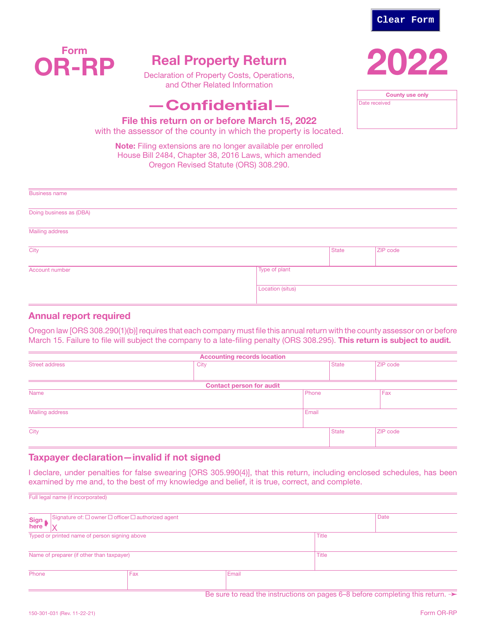



# Real Property Return

Declaration of Property Costs, Operations, and Other Related Information

# —Confidential—

County use only Date received

File this return on or before March 15, 2022

with the assessor of the county in which the property is located.

Note: Filing extensions are no longer available per enrolled House Bill 2484, Chapter 38, 2016 Laws, which amended Oregon Revised Statute (ORS) 308.290.

| <b>Business name</b>    |                         |       |          |  |
|-------------------------|-------------------------|-------|----------|--|
| Doing business as (DBA) |                         |       |          |  |
| Mailing address         |                         |       |          |  |
| City                    |                         | State | ZIP code |  |
| Account number          | Type of plant           |       |          |  |
|                         | <b>Location (situs)</b> |       |          |  |

# Annual report required

Oregon law [ORS 308.290(1)(b)] requires that each company must file this annual return with the county assessor on or before March 15. Failure to file will subject the company to a late-filing penalty (ORS 308.295). This return is subject to audit.

| <b>Accounting records location</b> |                                 |       |              |                 |  |  |  |
|------------------------------------|---------------------------------|-------|--------------|-----------------|--|--|--|
| <b>Street address</b>              | City                            |       | <b>State</b> | <b>ZIP</b> code |  |  |  |
|                                    |                                 |       |              |                 |  |  |  |
|                                    | <b>Contact person for audit</b> |       |              |                 |  |  |  |
| Name                               | Phone                           |       |              | Fax             |  |  |  |
|                                    |                                 |       |              |                 |  |  |  |
| Mailing address                    |                                 | Email |              |                 |  |  |  |
|                                    |                                 |       |              |                 |  |  |  |
| City                               |                                 |       | <b>State</b> | ZIP code        |  |  |  |
|                                    |                                 |       |              |                 |  |  |  |

# Taxpayer declaration—invalid if not signed

I declare, under penalties for false swearing [ORS 305.990(4)], that this return, including enclosed schedules, has been examined by me and, to the best of my knowledge and belief, it is true, correct, and complete.

| Sign<br>here                              | Signature of: $\square$ owner $\square$ officer $\square$ authorized agent |              | Date         |  |
|-------------------------------------------|----------------------------------------------------------------------------|--------------|--------------|--|
|                                           | Typed or printed name of person signing above                              | <b>Title</b> |              |  |
| Name of preparer (if other than taxpayer) |                                                                            |              | <b>Title</b> |  |
| Phone                                     | Fax                                                                        | Email        |              |  |

Be sure to read the instructions on pages 6–8 before completing this return. →

Full legal name (if incorporated)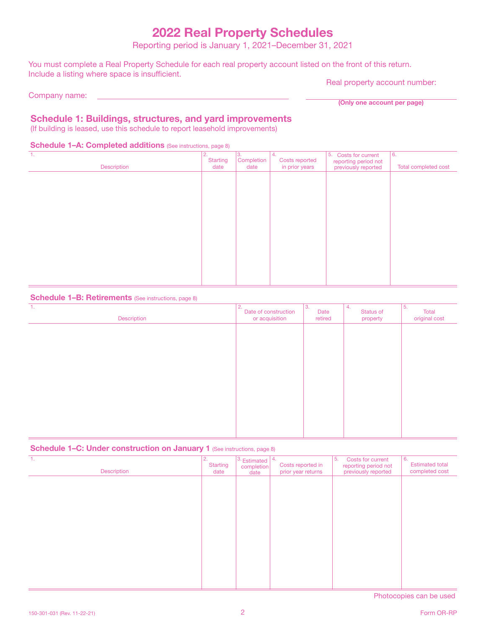# 2022 Real Property Schedules

Reporting period is January 1, 2021–December 31, 2021

You must complete a Real Property Schedule for each real property account listed on the front of this return. Include a listing where space is insufficient.

Company name:

Real property account number:

(Only one account per page)

# Schedule 1: Buildings, structures, and yard improvements

(If building is leased, use this schedule to report leasehold improvements)

#### Schedule 1-A: Completed additions (See instructions, page 8)

| $\mathbf{1}$ .<br>Description | 2.<br><b>Starting</b><br>date | 3.<br>Completion<br>date | 4.<br>Costs reported<br>in prior years | 5. Costs for current<br>reporting period not<br>previously reported | 6.<br>Total completed cost |
|-------------------------------|-------------------------------|--------------------------|----------------------------------------|---------------------------------------------------------------------|----------------------------|
|                               |                               |                          |                                        |                                                                     |                            |
|                               |                               |                          |                                        |                                                                     |                            |
|                               |                               |                          |                                        |                                                                     |                            |
|                               |                               |                          |                                        |                                                                     |                            |
|                               |                               |                          |                                        |                                                                     |                            |
|                               |                               |                          |                                        |                                                                     |                            |

#### Schedule 1-B: Retirements (See instructions, page 8)

| 1.<br>Description | 2.<br>Date of construction<br>or acquisition | IЗ.<br>Date<br>retired | 4.<br>Status of<br>property | 5.<br>Total<br>original cost |
|-------------------|----------------------------------------------|------------------------|-----------------------------|------------------------------|
|                   |                                              |                        |                             |                              |
|                   |                                              |                        |                             |                              |
|                   |                                              |                        |                             |                              |
|                   |                                              |                        |                             |                              |
|                   |                                              |                        |                             |                              |
|                   |                                              |                        |                             |                              |

#### Schedule 1–C: Under construction on January 1 (See instructions, page 8)

| -1.<br>Description | 2.<br>Starting<br>date | $3.$ Estimated $ 4.$<br>completion<br>date | Costs reported in<br>prior year returns | 5.<br>Costs for current<br>reporting period not<br>previously reported | 6.<br><b>Estimated total</b><br>completed cost |
|--------------------|------------------------|--------------------------------------------|-----------------------------------------|------------------------------------------------------------------------|------------------------------------------------|
|                    |                        |                                            |                                         |                                                                        |                                                |
|                    |                        |                                            |                                         |                                                                        |                                                |
|                    |                        |                                            |                                         |                                                                        |                                                |
|                    |                        |                                            |                                         |                                                                        |                                                |
|                    |                        |                                            |                                         |                                                                        |                                                |
|                    |                        |                                            |                                         |                                                                        |                                                |

Photocopies can be used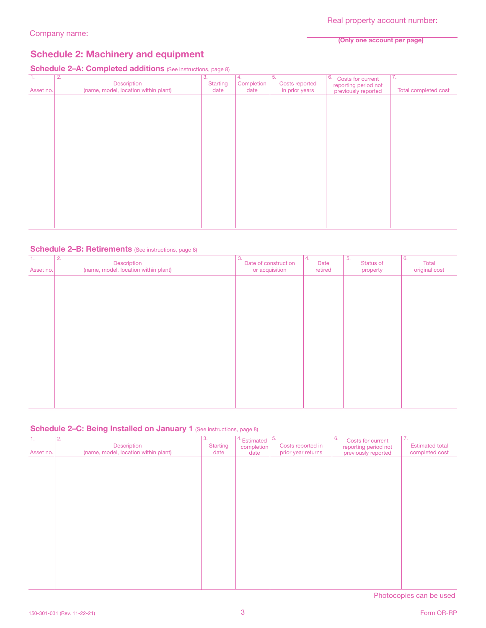#### (Only one account per page)

# Schedule 2: Machinery and equipment

# Schedule 2-A: Completed additions (See instructions, page 8)

| T.<br>Asset no. | $\overline{2}$ .<br>Description<br>(name, model, location within plant) | 3.<br><b>Starting</b><br>date | 4.<br>Completion<br>date | 5.<br>Costs reported<br>in prior years | 6.<br>Costs for current<br>reporting period not<br>previously reported | $\overline{7}$ .<br>Total completed cost |
|-----------------|-------------------------------------------------------------------------|-------------------------------|--------------------------|----------------------------------------|------------------------------------------------------------------------|------------------------------------------|
|                 |                                                                         |                               |                          |                                        |                                                                        |                                          |
|                 |                                                                         |                               |                          |                                        |                                                                        |                                          |
|                 |                                                                         |                               |                          |                                        |                                                                        |                                          |
|                 |                                                                         |                               |                          |                                        |                                                                        |                                          |
|                 |                                                                         |                               |                          |                                        |                                                                        |                                          |
|                 |                                                                         |                               |                          |                                        |                                                                        |                                          |
|                 |                                                                         |                               |                          |                                        |                                                                        |                                          |

#### Schedule 2-B: Retirements (See instructions, page 8)

| $\overline{1}$ .<br>Asset no. | $\overline{2}$ .<br>Description<br>(name, model, location within plant) | 3.<br>Date of construction<br>or acquisition | 14.<br>Date<br>retired | 5.<br>Status of<br>property | 6.<br>Total<br>original cost |
|-------------------------------|-------------------------------------------------------------------------|----------------------------------------------|------------------------|-----------------------------|------------------------------|
|                               |                                                                         |                                              |                        |                             |                              |
|                               |                                                                         |                                              |                        |                             |                              |
|                               |                                                                         |                                              |                        |                             |                              |
|                               |                                                                         |                                              |                        |                             |                              |
|                               |                                                                         |                                              |                        |                             |                              |
|                               |                                                                         |                                              |                        |                             |                              |
|                               |                                                                         |                                              |                        |                             |                              |

#### Schedule 2-C: Being Installed on January 1 (See instructions, page 8)

| Π.<br>Asset no. | $\overline{2}$ .<br>Description<br>(name, model, location within plant) | $\overline{3}$ .<br><b>Starting</b><br>date | $4.$ Estimated $\sqrt{5.}$<br>completion<br>date | Costs reported in<br>prior year returns | 6.<br>Costs for current<br>reporting period not<br>previously reported | 7.<br><b>Estimated total</b><br>completed cost |
|-----------------|-------------------------------------------------------------------------|---------------------------------------------|--------------------------------------------------|-----------------------------------------|------------------------------------------------------------------------|------------------------------------------------|
|                 |                                                                         |                                             |                                                  |                                         |                                                                        |                                                |
|                 |                                                                         |                                             |                                                  |                                         |                                                                        |                                                |
|                 |                                                                         |                                             |                                                  |                                         |                                                                        |                                                |
|                 |                                                                         |                                             |                                                  |                                         |                                                                        |                                                |
|                 |                                                                         |                                             |                                                  |                                         |                                                                        |                                                |
|                 |                                                                         |                                             |                                                  |                                         |                                                                        |                                                |
|                 |                                                                         |                                             |                                                  |                                         |                                                                        |                                                |
|                 |                                                                         |                                             |                                                  |                                         |                                                                        |                                                |
|                 |                                                                         |                                             |                                                  |                                         |                                                                        |                                                |

Photocopies can be used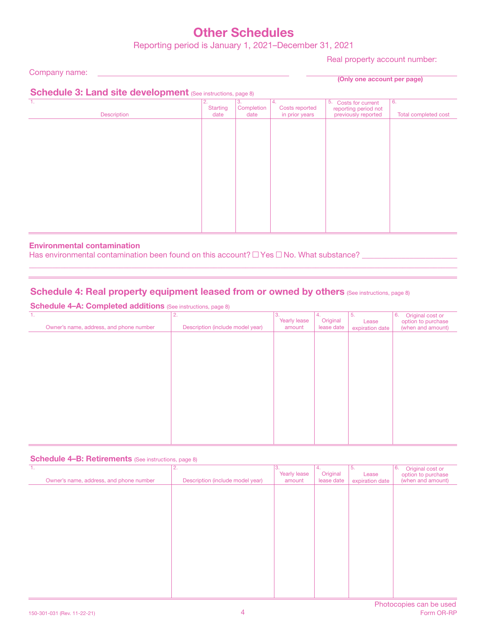# Other Schedules

Reporting period is January 1, 2021–December 31, 2021

Real property account number:

Company name:

(Only one account per page)

# Schedule 3: Land site development (See instructions, page 8)

| . .         |                       | $\sim$<br>$\sim$ |                       |                      |                      |
|-------------|-----------------------|------------------|-----------------------|----------------------|----------------------|
| 1.          | 2.<br><b>Starting</b> | 3.<br>Completion | 14.<br>Costs reported | 5. Costs for current | 6.                   |
|             |                       |                  |                       | reporting period not |                      |
| Description | date                  | date             | in prior years        | previously reported  | Total completed cost |
|             |                       |                  |                       |                      |                      |
|             |                       |                  |                       |                      |                      |
|             |                       |                  |                       |                      |                      |
|             |                       |                  |                       |                      |                      |
|             |                       |                  |                       |                      |                      |
|             |                       |                  |                       |                      |                      |
|             |                       |                  |                       |                      |                      |
|             |                       |                  |                       |                      |                      |
|             |                       |                  |                       |                      |                      |
|             |                       |                  |                       |                      |                      |
|             |                       |                  |                       |                      |                      |
|             |                       |                  |                       |                      |                      |
|             |                       |                  |                       |                      |                      |
|             |                       |                  |                       |                      |                      |
|             |                       |                  |                       |                      |                      |
|             |                       |                  |                       |                      |                      |
|             |                       |                  |                       |                      |                      |
|             |                       |                  |                       |                      |                      |
|             |                       |                  |                       |                      |                      |
|             |                       |                  |                       |                      |                      |

 $\_$  , and the set of the set of the set of the set of the set of the set of the set of the set of the set of the set of the set of the set of the set of the set of the set of the set of the set of the set of the set of th

### Environmental contamination

Has environmental contamination been found on this account?  $\Box$  Yes  $\Box$  No. What substance?

# Schedule 4: Real property equipment leased from or owned by others (See instructions, page 8)

Schedule 4-A: Completed additions (See instructions, page 8)

| 1.<br>Owner's name, address, and phone number | 2.<br>Description (include model year) | 3.<br>Yearly lease<br>amount | 4.<br>Original<br>lease date | 5.<br>Lease<br>expiration date | 6.<br>Original cost or<br>option to purchase<br>(when and amount) |
|-----------------------------------------------|----------------------------------------|------------------------------|------------------------------|--------------------------------|-------------------------------------------------------------------|
|                                               |                                        |                              |                              |                                |                                                                   |
|                                               |                                        |                              |                              |                                |                                                                   |
|                                               |                                        |                              |                              |                                |                                                                   |
|                                               |                                        |                              |                              |                                |                                                                   |
|                                               |                                        |                              |                              |                                |                                                                   |
|                                               |                                        |                              |                              |                                |                                                                   |

#### Schedule 4–B: Retirements (See instructions, page 8)

| $\mathbf{1}$ .<br>Owner's name, address, and phone number | 2.<br>Description (include model year) | 3.<br>Yearly lease<br>amount | 4.<br>Original<br>lease date | 5.<br>Lease<br>expiration date | 6.<br>Original cost or<br>option to purchase<br>(when and amount) |
|-----------------------------------------------------------|----------------------------------------|------------------------------|------------------------------|--------------------------------|-------------------------------------------------------------------|
|                                                           |                                        |                              |                              |                                |                                                                   |
|                                                           |                                        |                              |                              |                                |                                                                   |
|                                                           |                                        |                              |                              |                                |                                                                   |
|                                                           |                                        |                              |                              |                                |                                                                   |
|                                                           |                                        |                              |                              |                                |                                                                   |
|                                                           |                                        |                              |                              |                                |                                                                   |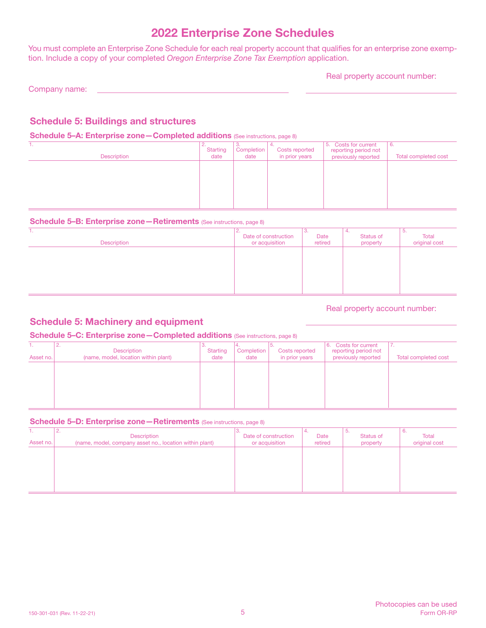# 2022 Enterprise Zone Schedules

You must complete an Enterprise Zone Schedule for each real property account that qualifies for an enterprise zone exemption. Include a copy of your completed *Oregon Enterprise Zone Tax Exemption* application.

Real property account number:

Company name:

# Schedule 5: Buildings and structures

#### Schedule 5-A: Enterprise zone - Completed additions (See instructions, page 8)

| <b>Description</b> | <u>.</u><br><b>Starting</b><br>date | Completion<br>date | <b>Costs reported</b><br>in prior years | 5. Costs for current<br>reporting period not<br>previously reported | -6.<br>Total completed cost |
|--------------------|-------------------------------------|--------------------|-----------------------------------------|---------------------------------------------------------------------|-----------------------------|
|                    |                                     |                    |                                         |                                                                     |                             |
|                    |                                     |                    |                                         |                                                                     |                             |

#### Schedule 5-B: Enterprise zone - Retirements (See instructions, page 8)

| .<br>Description | z.<br>Date of construction<br>or acquisition | ು.<br>Date<br>retired | ٠.<br>Status of<br>property | 5.<br>Total<br>original cost |
|------------------|----------------------------------------------|-----------------------|-----------------------------|------------------------------|
|                  |                                              |                       |                             |                              |
|                  |                                              |                       |                             |                              |
|                  |                                              |                       |                             |                              |

#### Real property account number:

# Schedule 5: Machinery and equipment

### Schedule 5-C: Enterprise zone-Completed additions (See instructions, page 8)

| Asset no. | <u>.</u><br><b>Description</b><br>(name, model, location within plant) | <b>Starting</b><br>date | Completion<br>date | Costs reported<br>in prior years | <b>Costs for current</b><br>16.<br>reporting period not<br>previously reported | $\sqrt{ }$<br>Total completed cost |
|-----------|------------------------------------------------------------------------|-------------------------|--------------------|----------------------------------|--------------------------------------------------------------------------------|------------------------------------|
|           |                                                                        |                         |                    |                                  |                                                                                |                                    |
|           |                                                                        |                         |                    |                                  |                                                                                |                                    |

#### Schedule 5–D: Enterprise zone – Retirements (See instructions, page 8)

| Asset no. | <u>.</u><br>Description<br>(name, model, company asset no., location within plant) | Date of construction<br>or acquisition | Date<br>retired | .ن<br>Status of<br>property | o.<br>Total<br>original cost |
|-----------|------------------------------------------------------------------------------------|----------------------------------------|-----------------|-----------------------------|------------------------------|
|           |                                                                                    |                                        |                 |                             |                              |
|           |                                                                                    |                                        |                 |                             |                              |
|           |                                                                                    |                                        |                 |                             |                              |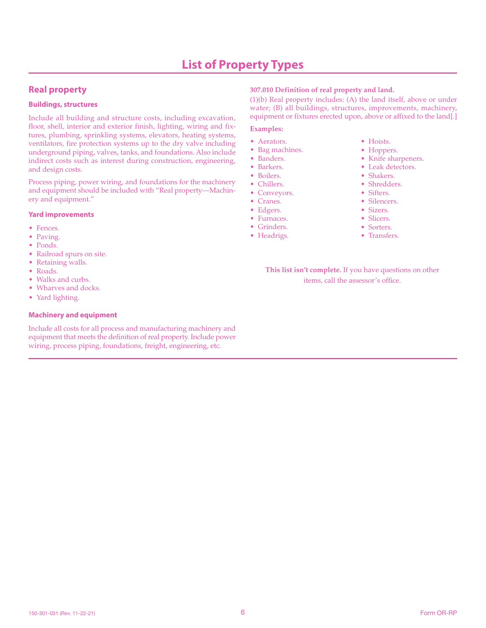# **Real property**

#### **Buildings, structures**

Include all building and structure costs, including excavation, floor, shell, interior and exterior finish, lighting, wiring and fixtures, plumbing, sprinkling systems, elevators, heating systems, ventilators, fire protection systems up to the dry valve including underground piping, valves, tanks, and foundations. Also include indirect costs such as interest during construction, engineering, and design costs.

Process piping, power wiring, and foundations for the machinery and equipment should be included with "Real property—Machinery and equipment."

#### **Yard improvements**

- Fences.
- Paving.
- Ponds.
- Railroad spurs on site.
- Retaining walls.
- Roads.
- Walks and curbs.
- Wharves and docks.
- Yard lighting.

#### **Machinery and equipment**

Include all costs for all process and manufacturing machinery and equipment that meets the definition of real property. Include power wiring, process piping, foundations, freight, engineering, etc.

#### **307.010 Definition of real property and land.**

(1)(b) Real property includes: (A) the land itself, above or under water; (B) all buildings, structures, improvements, machinery, equipment or fixtures erected upon, above or affixed to the land[.]

#### **Examples:**

- Aerators.
- Bag machines.
- Banders.
- Barkers.
- Boilers.
- Chillers.
- Conveyors.
- Cranes.
- Edgers.
- Furnaces.
- Grinders.
- Headrigs.
- Hoists.
- Hoppers.
- Knife sharpeners.
- Leak detectors.
- Shakers.
- Shredders.
- Sifters.
- Silencers.
- Sizers.
- Slicers.
- Sorters.
- Transfers.

**This list isn't complete.** If you have questions on other items, call the assessor's office.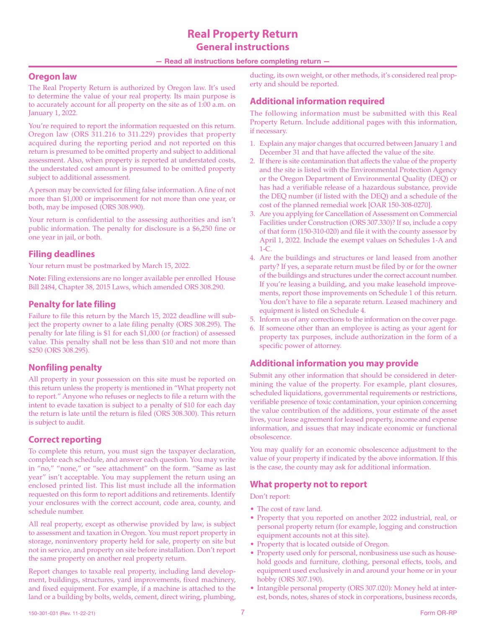# **Real Property Return General instructions**

#### — Read all instructions before completing return —

#### **Oregon law**

The Real Property Return is authorized by Oregon law. It's used to determine the value of your real property. Its main purpose is to accurately account for all property on the site as of 1:00 a.m. on January 1, 2022.

You're required to report the information requested on this return. Oregon law (ORS 311.216 to 311.229) provides that property acquired during the reporting period and not reported on this return is presumed to be omitted property and subject to additional assessment. Also, when property is reported at understated costs, the understated cost amount is presumed to be omitted property subject to additional assessment.

A person may be convicted for filing false information. A fine of not more than \$1,000 or imprisonment for not more than one year, or both, may be imposed (ORS 308.990).

Your return is confidential to the assessing authorities and isn't public information. The penalty for disclosure is a \$6,250 fine or one year in jail, or both.

# **Filing deadlines**

Your return must be postmarked by March 15, 2022.

**Note:** Filing extensions are no longer available per enrolled House Bill 2484, Chapter 38, 2015 Laws, which amended ORS 308.290.

# **Penalty for late filing**

Failure to file this return by the March 15, 2022 deadline will subject the property owner to a late filing penalty (ORS 308.295). The penalty for late filing is \$1 for each \$1,000 (or fraction) of assessed value. This penalty shall not be less than \$10 and not more than \$250 (ORS 308.295).

# **Nonfiling penalty**

All property in your possession on this site must be reported on this return unless the property is mentioned in "What property not to report." Anyone who refuses or neglects to file a return with the intent to evade taxation is subject to a penalty of \$10 for each day the return is late until the return is filed (ORS 308.300). This return is subject to audit.

# **Correct reporting**

To complete this return, you must sign the taxpayer declaration, complete each schedule, and answer each question. You may write in "no," "none," or "see attachment" on the form. "Same as last year" isn't acceptable. You may supplement the return using an enclosed printed list. This list must include all the information requested on this form to report additions and retirements. Identify your enclosures with the correct account, code area, county, and schedule number.

All real property, except as otherwise provided by law, is subject to assessment and taxation in Oregon. You must report property in storage, noninventory property held for sale, property on site but not in service, and property on site before installation. Don't report the same property on another real property return.

Report changes to taxable real property, including land development, buildings, structures, yard improvements, fixed machinery, and fixed equipment. For example, if a machine is attached to the land or a building by bolts, welds, cement, direct wiring, plumbing, ducting, its own weight, or other methods, it's considered real property and should be reported.

# **Additional information required**

The following information must be submitted with this Real Property Return. Include additional pages with this information, if necessary.

- 1. Explain any major changes that occurred between January 1 and December 31 and that have affected the value of the site.
- 2. If there is site contamination that affects the value of the property and the site is listed with the Environmental Protection Agency or the Oregon Department of Environmental Quality (DEQ) or has had a verifiable release of a hazardous substance, provide the DEQ number (if listed with the DEQ) and a schedule of the cost of the planned remedial work [OAR 150-308-0270].
- 3. Are you applying for Cancellation of Assessment on Commercial Facilities under Construction (ORS 307.330)? If so, include a copy of that form (150-310-020) and file it with the county assessor by April 1, 2022. Include the exempt values on Schedules 1-A and 1-C.
- 4. Are the buildings and structures or land leased from another party? If yes, a separate return must be filed by or for the owner of the buildings and structures under the correct account number. If you're leasing a building, and you make leasehold improvements, report those improvements on Schedule 1 of this return. You don't have to file a separate return. Leased machinery and equipment is listed on Schedule 4.
- 5. Inform us of any corrections to the information on the cover page.
- 6. If someone other than an employee is acting as your agent for property tax purposes, include authorization in the form of a specific power of attorney.

# **Additional information you may provide**

Submit any other information that should be considered in determining the value of the property. For example, plant closures, scheduled liquidations, governmental requirements or restrictions, verifiable presence of toxic contamination, your opinion concerning the value contribution of the additions, your estimate of the asset lives, your lease agreement for leased property, income and expense information, and issues that may indicate economic or functional obsolescence.

You may qualify for an economic obsolescence adjustment to the value of your property if indicated by the above information. If this is the case, the county may ask for additional information.

### **What property not to report**

Don't report:

- The cost of raw land.
- Property that you reported on another 2022 industrial, real, or personal property return (for example, logging and construction equipment accounts not at this site).
- Property that is located outside of Oregon.
- Property used only for personal, nonbusiness use such as household goods and furniture, clothing, personal effects, tools, and equipment used exclusively in and around your home or in your hobby (ORS 307.190).
- Intangible personal property (ORS 307.020): Money held at interest, bonds, notes, shares of stock in corporations, business records,